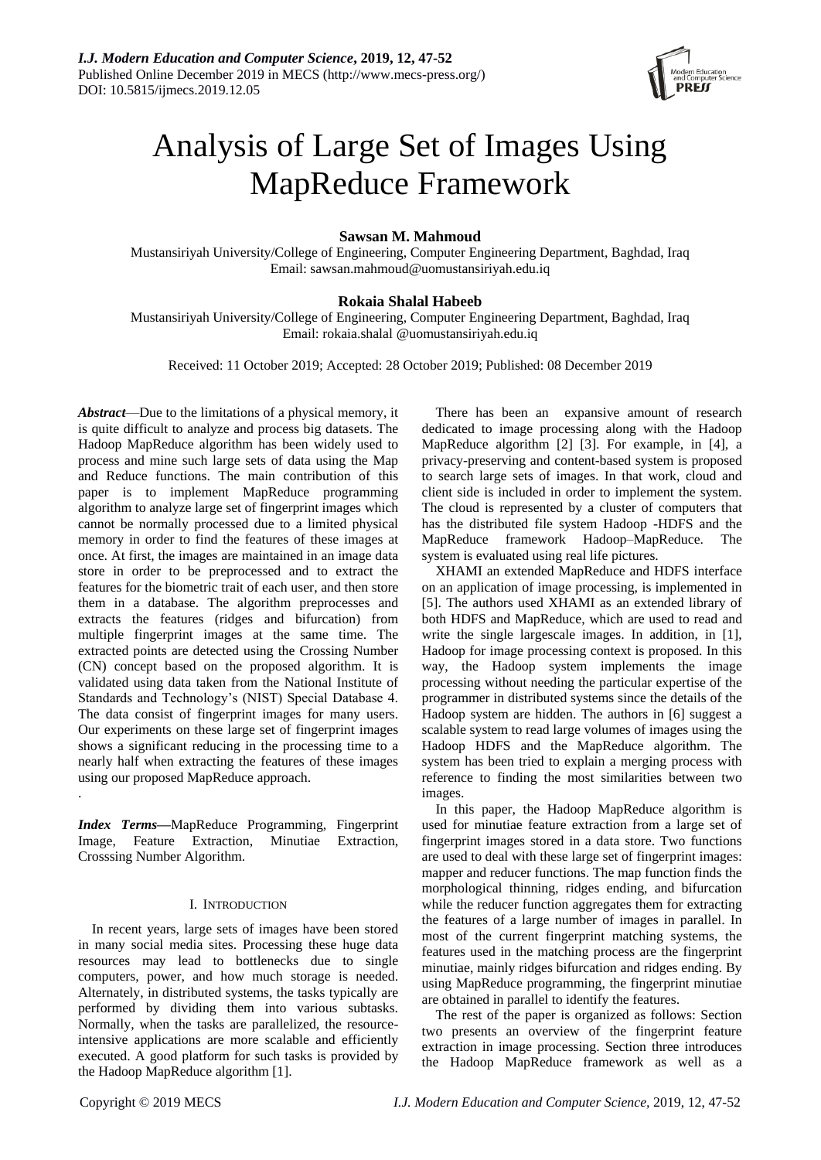

# Analysis of Large Set of Images Using MapReduce Framework

# **Sawsan M. Mahmoud**

Mustansiriyah University/College of Engineering, Computer Engineering Department, Baghdad, Iraq Email: sawsan.mahmoud@uomustansiriyah.edu.iq

# **Rokaia Shalal Habeeb**

Mustansiriyah University/College of Engineering, Computer Engineering Department, Baghdad, Iraq Email: rokaia.shalal @uomustansiriyah.edu.iq

Received: 11 October 2019; Accepted: 28 October 2019; Published: 08 December 2019

*Abstract*—Due to the limitations of a physical memory, it is quite difficult to analyze and process big datasets. The Hadoop MapReduce algorithm has been widely used to process and mine such large sets of data using the Map and Reduce functions. The main contribution of this paper is to implement MapReduce programming algorithm to analyze large set of fingerprint images which cannot be normally processed due to a limited physical memory in order to find the features of these images at once. At first, the images are maintained in an image data store in order to be preprocessed and to extract the features for the biometric trait of each user, and then store them in a database. The algorithm preprocesses and extracts the features (ridges and bifurcation) from multiple fingerprint images at the same time. The extracted points are detected using the Crossing Number (CN) concept based on the proposed algorithm. It is validated using data taken from the National Institute of Standards and Technology's (NIST) Special Database 4. The data consist of fingerprint images for many users. Our experiments on these large set of fingerprint images shows a significant reducing in the processing time to a nearly half when extracting the features of these images using our proposed MapReduce approach.

*Index Terms***—**MapReduce Programming, Fingerprint Image, Feature Extraction, Minutiae Extraction, Crosssing Number Algorithm.

# I. INTRODUCTION

In recent years, large sets of images have been stored in many social media sites. Processing these huge data resources may lead to bottlenecks due to single computers, power, and how much storage is needed. Alternately, in distributed systems, the tasks typically are performed by dividing them into various subtasks. Normally, when the tasks are parallelized, the resourceintensive applications are more scalable and efficiently executed. A good platform for such tasks is provided by the Hadoop MapReduce algorithm [1].

There has been an expansive amount of research dedicated to image processing along with the Hadoop MapReduce algorithm [2] [3]. For example, in [4], a privacy-preserving and content-based system is proposed to search large sets of images. In that work, cloud and client side is included in order to implement the system. The cloud is represented by a cluster of computers that has the distributed file system Hadoop -HDFS and the MapReduce framework Hadoop–MapReduce. The system is evaluated using real life pictures.

XHAMI an extended MapReduce and HDFS interface on an application of image processing, is implemented in [5]. The authors used XHAMI as an extended library of both HDFS and MapReduce, which are used to read and write the single largescale images. In addition, in [1], Hadoop for image processing context is proposed. In this way, the Hadoop system implements the image processing without needing the particular expertise of the programmer in distributed systems since the details of the Hadoop system are hidden. The authors in [6] suggest a scalable system to read large volumes of images using the Hadoop HDFS and the MapReduce algorithm. The system has been tried to explain a merging process with reference to finding the most similarities between two images.

In this paper, the Hadoop MapReduce algorithm is used for minutiae feature extraction from a large set of fingerprint images stored in a data store. Two functions are used to deal with these large set of fingerprint images: mapper and reducer functions. The map function finds the morphological thinning, ridges ending, and bifurcation while the reducer function aggregates them for extracting the features of a large number of images in parallel. In most of the current fingerprint matching systems, the features used in the matching process are the fingerprint minutiae, mainly ridges bifurcation and ridges ending. By using MapReduce programming, the fingerprint minutiae are obtained in parallel to identify the features.

The rest of the paper is organized as follows: Section two presents an overview of the fingerprint feature extraction in image processing. Section three introduces the Hadoop MapReduce framework as well as a

.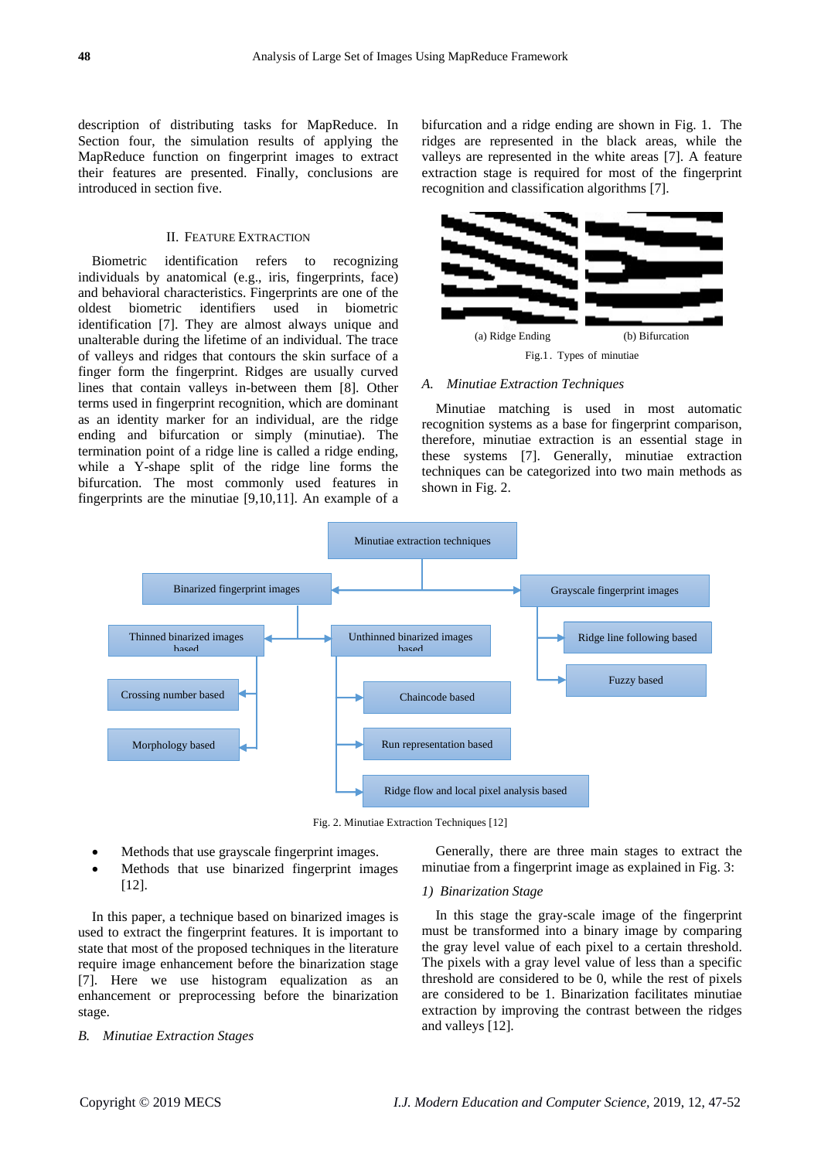description of distributing tasks for MapReduce. In Section four, the simulation results of applying the MapReduce function on fingerprint images to extract their features are presented. Finally, conclusions are introduced in section five.

## II. FEATURE EXTRACTION

Biometric identification refers to recognizing individuals by anatomical (e.g., iris, fingerprints, face) and behavioral characteristics. Fingerprints are one of the oldest biometric identifiers used in biometric identification [7]. They are almost always unique and unalterable during the lifetime of an individual. The trace of valleys and ridges that contours the skin surface of a finger form the fingerprint. Ridges are usually curved lines that contain valleys in-between them [8]. Other terms used in fingerprint recognition, which are dominant as an identity marker for an individual, are the ridge ending and bifurcation or simply (minutiae). The termination point of a ridge line is called a ridge ending, while a Y-shape split of the ridge line forms the bifurcation. The most commonly used features in fingerprints are the minutiae [9,10,11]. An example of a

bifurcation and a ridge ending are shown in Fig. 1. The ridges are represented in the black areas, while the valleys are represented in the white areas [7]. A feature extraction stage is required for most of the fingerprint recognition and classification algorithms [7].



## *A. Minutiae Extraction Techniques*

Minutiae matching is used in most automatic recognition systems as a base for fingerprint comparison, therefore, minutiae extraction is an essential stage in these systems [7]. Generally, minutiae extraction techniques can be categorized into two main methods as shown in Fig. 2.



Fig. 2. Minutiae Extraction Techniques [12]

- Methods that use grayscale fingerprint images.
- Methods that use binarized fingerprint images [12].

In this paper, a technique based on binarized images is used to extract the fingerprint features. It is important to state that most of the proposed techniques in the literature require image enhancement before the binarization stage [7]. Here we use histogram equalization as an enhancement or preprocessing before the binarization stage.

*B. Minutiae Extraction Stages*

Generally, there are three main stages to extract the minutiae from a fingerprint image as explained in Fig. 3:

## *1) Binarization Stage*

In this stage the gray-scale image of the fingerprint must be transformed into a binary image by comparing the gray level value of each pixel to a certain threshold. The pixels with a gray level value of less than a specific threshold are considered to be 0, while the rest of pixels are considered to be 1. Binarization facilitates minutiae extraction by improving the contrast between the ridges and valleys [12].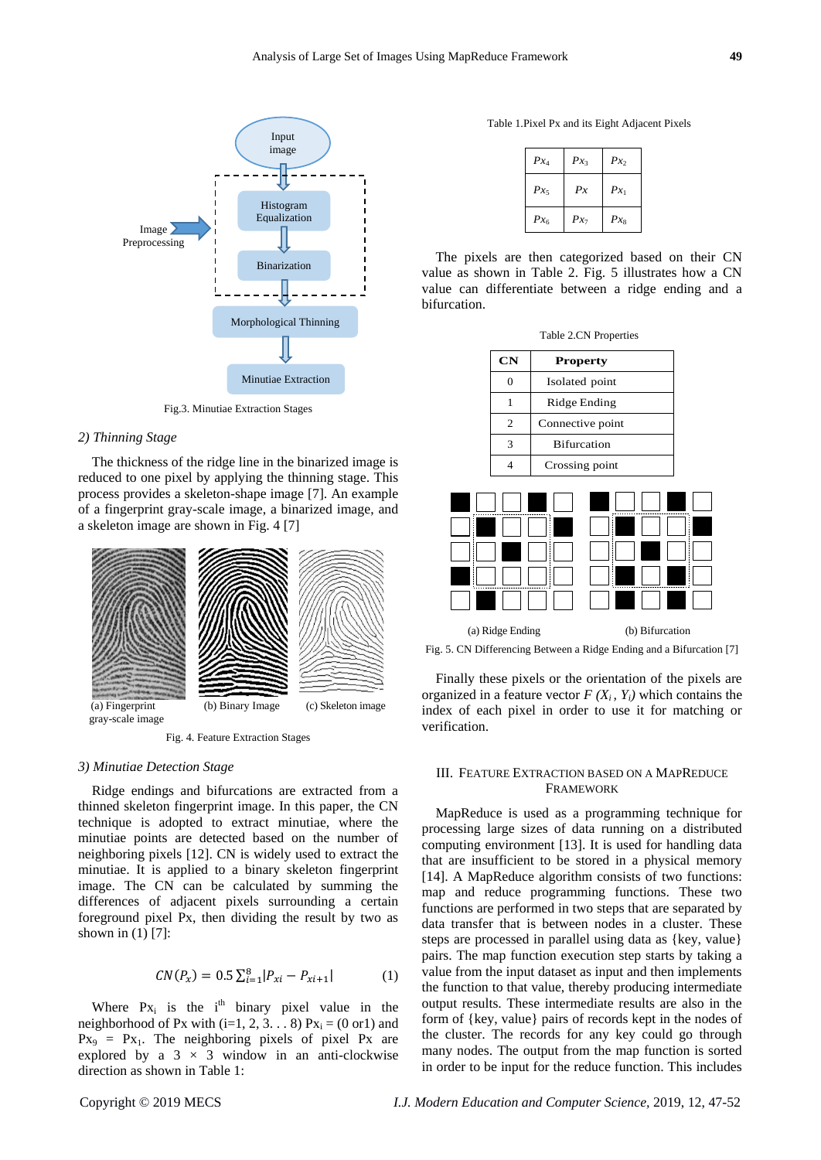

Fig.3. Minutiae Extraction Stages

## *2) Thinning Stage*

The thickness of the ridge line in the binarized image is reduced to one pixel by applying the thinning stage. This process provides a skeleton-shape image [7]. An example of a fingerprint gray-scale image, a binarized image, and a skeleton image are shown in Fig. 4 [7]



Fig. 4. Feature Extraction Stages

#### *3) Minutiae Detection Stage*

Ridge endings and bifurcations are extracted from a thinned skeleton fingerprint image. In this paper, the CN technique is adopted to extract minutiae, where the minutiae points are detected based on the number of neighboring pixels [12]. CN is widely used to extract the minutiae. It is applied to a binary skeleton fingerprint image. The CN can be calculated by summing the differences of adjacent pixels surrounding a certain foreground pixel Px, then dividing the result by two as shown in (1) [7]:

$$
CN(P_x) = 0.5 \sum_{i=1}^{8} |P_{xi} - P_{xi+1}|
$$
 (1)

Where  $Px_i$  is the i<sup>th</sup> binary pixel value in the neighborhood of Px with  $(i=1, 2, 3, \ldots 8)$  Px<sub>i</sub> = (0 or1) and  $Px_9 = Px_1$ . The neighboring pixels of pixel Px are explored by a  $3 \times 3$  window in an anti-clockwise direction as shown in Table 1:

Table 1.Pixel Px and its Eight Adjacent Pixels

| $Px_4$             | $Px_3$ | $Px_2$ |
|--------------------|--------|--------|
| ${\mathfrak P}x_5$ | Px     | $Px_1$ |
| $Px_6$             | $Px_7$ | $Px_8$ |

The pixels are then categorized based on their CN value as shown in Table 2. Fig. 5 illustrates how a CN value can differentiate between a ridge ending and a bifurcation.

| Table 2.CN Properties |  |
|-----------------------|--|
|-----------------------|--|

| CN | <b>Property</b>    |
|----|--------------------|
|    | Isolated point     |
|    | Ridge Ending       |
| 2  | Connective point   |
| 3  | <b>Bifurcation</b> |
|    | Crossing point     |



Fig. 5. CN Differencing Between a Ridge Ending and a Bifurcation [7]

Finally these pixels or the orientation of the pixels are organized in a feature vector  $F(X_i, Y_i)$  which contains the index of each pixel in order to use it for matching or verification.

#### III. FEATURE EXTRACTION BASED ON A MAPREDUCE FRAMEWORK

MapReduce is used as a programming technique for processing large sizes of data running on a distributed computing environment [13]. It is used for handling data that are insufficient to be stored in a physical memory [14]. A MapReduce algorithm consists of two functions: map and reduce programming functions. These two functions are performed in two steps that are separated by data transfer that is between nodes in a cluster. These steps are processed in parallel using data as {key, value} pairs. The map function execution step starts by taking a value from the input dataset as input and then implements the function to that value, thereby producing intermediate output results. These intermediate results are also in the form of {key, value} pairs of records kept in the nodes of the cluster. The records for any key could go through many nodes. The output from the map function is sorted in order to be input for the reduce function. This includes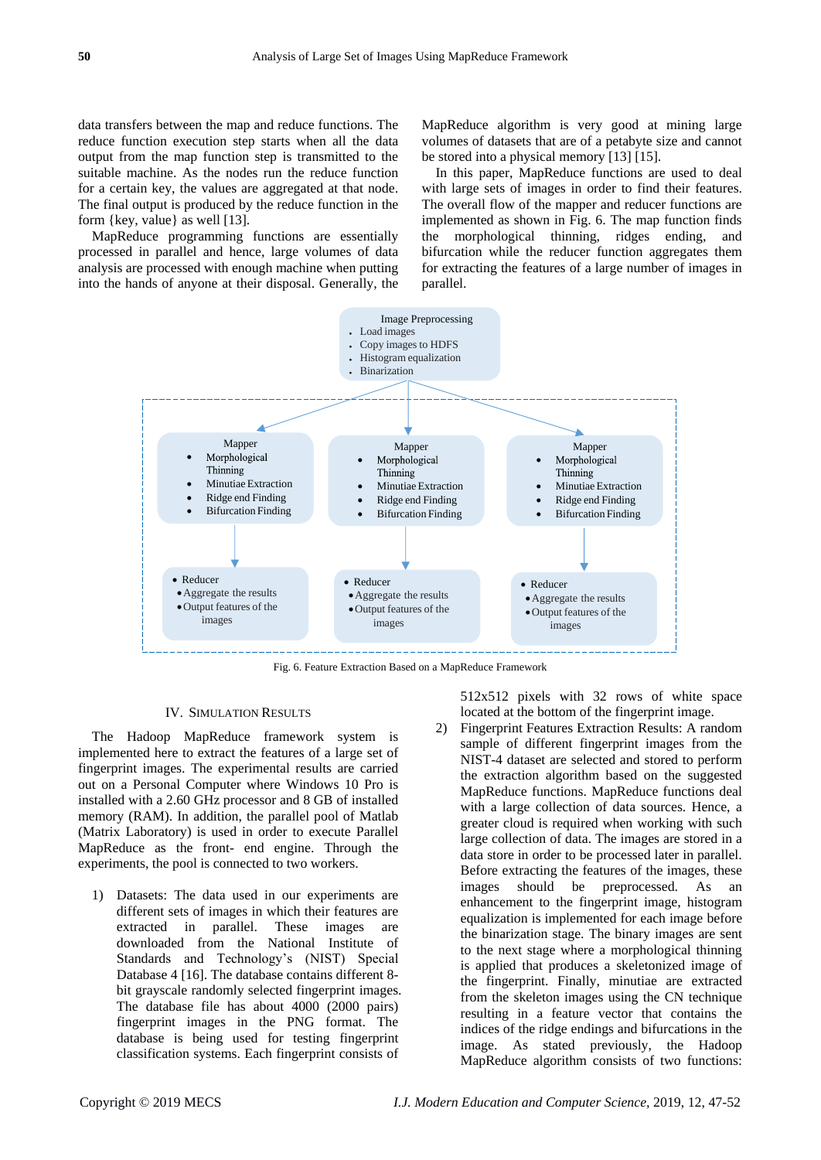data transfers between the map and reduce functions. The reduce function execution step starts when all the data output from the map function step is transmitted to the suitable machine. As the nodes run the reduce function for a certain key, the values are aggregated at that node. The final output is produced by the reduce function in the form {key, value} as well [13].

MapReduce programming functions are essentially processed in parallel and hence, large volumes of data analysis are processed with enough machine when putting into the hands of anyone at their disposal. Generally, the

MapReduce algorithm is very good at mining large volumes of datasets that are of a petabyte size and cannot be stored into a physical memory [13] [15].

In this paper, MapReduce functions are used to deal with large sets of images in order to find their features. The overall flow of the mapper and reducer functions are implemented as shown in Fig. 6. The map function finds the morphological thinning, ridges ending, and bifurcation while the reducer function aggregates them for extracting the features of a large number of images in parallel.



Fig. 6. Feature Extraction Based on a MapReduce Framework

#### IV. SIMULATION RESULTS

The Hadoop MapReduce framework system is implemented here to extract the features of a large set of fingerprint images. The experimental results are carried out on a Personal Computer where Windows 10 Pro is installed with a 2.60 GHz processor and 8 GB of installed memory (RAM). In addition, the parallel pool of Matlab (Matrix Laboratory) is used in order to execute Parallel MapReduce as the front- end engine. Through the experiments, the pool is connected to two workers.

1) Datasets: The data used in our experiments are different sets of images in which their features are extracted in parallel. These images are downloaded from the National Institute of Standards and Technology's (NIST) Special Database 4 [16]. The database contains different 8 bit grayscale randomly selected fingerprint images. The database file has about 4000 (2000 pairs) fingerprint images in the PNG format. The database is being used for testing fingerprint classification systems. Each fingerprint consists of

512x512 pixels with 32 rows of white space located at the bottom of the fingerprint image.

2) Fingerprint Features Extraction Results: A random sample of different fingerprint images from the NIST-4 dataset are selected and stored to perform the extraction algorithm based on the suggested MapReduce functions. MapReduce functions deal with a large collection of data sources. Hence, a greater cloud is required when working with such large collection of data. The images are stored in a data store in order to be processed later in parallel. Before extracting the features of the images, these images should be preprocessed. As an enhancement to the fingerprint image, histogram equalization is implemented for each image before the binarization stage. The binary images are sent to the next stage where a morphological thinning is applied that produces a skeletonized image of the fingerprint. Finally, minutiae are extracted from the skeleton images using the CN technique resulting in a feature vector that contains the indices of the ridge endings and bifurcations in the image. As stated previously, the Hadoop MapReduce algorithm consists of two functions: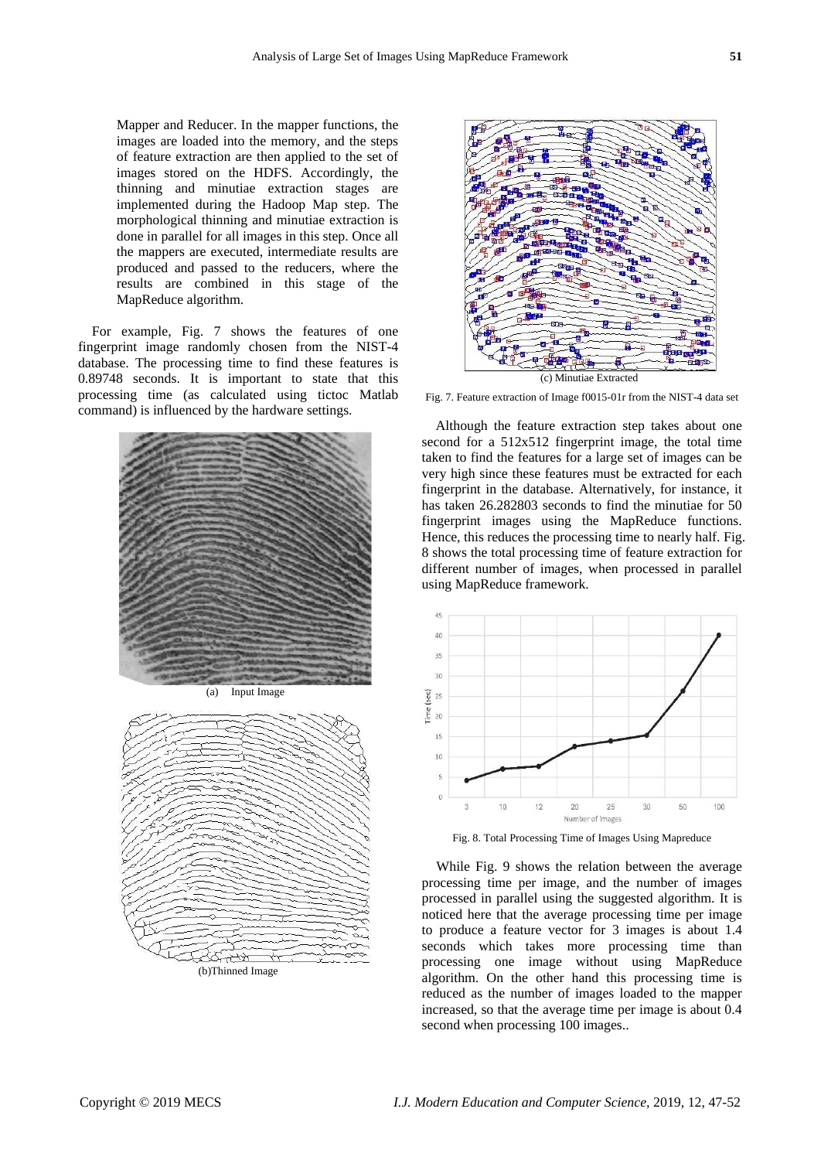Mapper and Reducer. In the mapper functions, the images are loaded into the memory, and the steps of feature extraction are then applied to the set of images stored on the HDFS. Accordingly, the thinning and minutiae extraction stages are implemented during the Hadoop Map step. The morphological thinning and minutiae extraction is done in parallel for all images in this step. Once all the mappers are executed, intermediate results are produced and passed to the reducers, where the results are combined in this stage of the MapReduce algorithm.

For example, Fig. 7 shows the features of one fingerprint image randomly chosen from the NIST-4 database. The processing time to find these features is 0.89748 seconds. It is important to state that this processing time (as calculated using tictoc Matlab command) is influenced by the hardware settings.



(b)Thinned Image

त्टेळ



Fig. 7. Feature extraction of Image f0015-01r from the NIST-4 data set

Although the feature extraction step takes about one second for a 512x512 fingerprint image, the total time taken to find the features for a large set of images can be very high since these features must be extracted for each fingerprint in the database. Alternatively, for instance, it has taken 26.282803 seconds to find the minutiae for 50 fingerprint images using the MapReduce functions. Hence, this reduces the processing time to nearly half. Fig. 8 shows the total processing time of feature extraction for different number of images, when processed in parallel using MapReduce framework.



Fig. 8. Total Processing Time of Images Using Mapreduce

While Fig. 9 shows the relation between the average processing time per image, and the number of images processed in parallel using the suggested algorithm. It is noticed here that the average processing time per image to produce a feature vector for 3 images is about 1.4 seconds which takes more processing time than processing one image without using MapReduce algorithm. On the other hand this processing time is reduced as the number of images loaded to the mapper increased, so that the average time per image is about 0.4 second when processing 100 images..